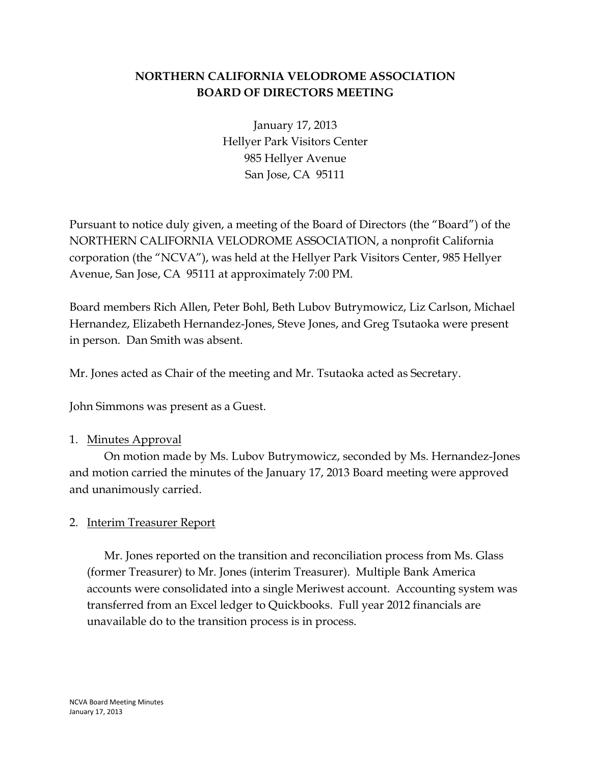# **NORTHERN CALIFORNIA VELODROME ASSOCIATION BOARD OF DIRECTORS MEETING**

January 17, 2013 Hellyer Park Visitors Center 985 Hellyer Avenue San Jose, CA 95111

Pursuant to notice duly given, a meeting of the Board of Directors (the "Board") of the NORTHERN CALIFORNIA VELODROME ASSOCIATION, a nonprofit California corporation (the "NCVA"), was held at the Hellyer Park Visitors Center, 985 Hellyer Avenue, San Jose, CA 95111 at approximately 7:00 PM.

Board members Rich Allen, Peter Bohl, Beth Lubov Butrymowicz, Liz Carlson, Michael Hernandez, Elizabeth Hernandez-Jones, Steve Jones, and Greg Tsutaoka were present in person. Dan Smith was absent.

Mr. Jones acted as Chair of the meeting and Mr. Tsutaoka acted as Secretary.

John Simmons was present as a Guest.

#### 1. Minutes Approval

On motion made by Ms. Lubov Butrymowicz, seconded by Ms. Hernandez-Jones and motion carried the minutes of the January 17, 2013 Board meeting were approved and unanimously carried.

#### 2. Interim Treasurer Report

Mr. Jones reported on the transition and reconciliation process from Ms. Glass (former Treasurer) to Mr. Jones (interim Treasurer). Multiple Bank America accounts were consolidated into a single Meriwest account. Accounting system was transferred from an Excel ledger to Quickbooks. Full year 2012 financials are unavailable do to the transition process is in process.